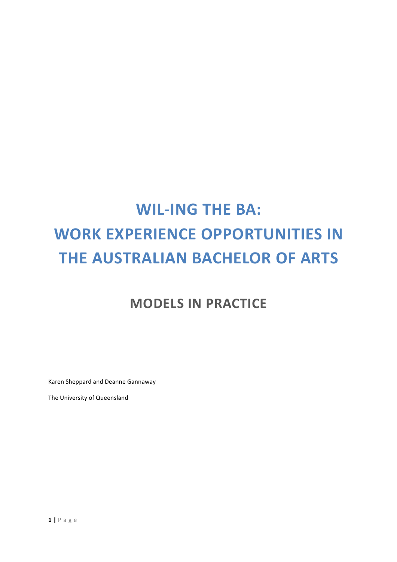# **WIL-ING THE BA: WORK EXPERIENCE OPPORTUNITIES IN THE AUSTRALIAN BACHELOR OF ARTS**

# **MODELS IN PRACTICE**

Karen Sheppard and Deanne Gannaway

The University of Queensland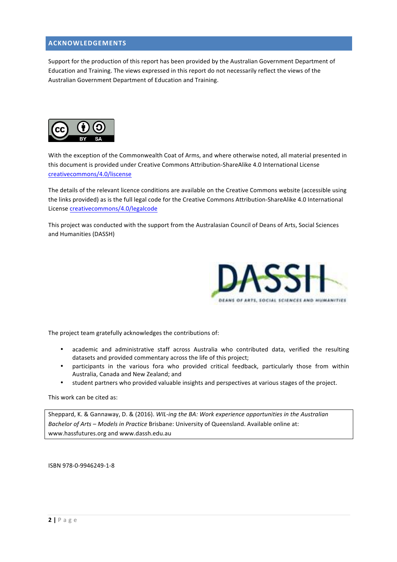# **ACKNOWLEDGEMENTS**

Support for the production of this report has been provided by the Australian Government Department of Education and Training. The views expressed in this report do not necessarily reflect the views of the Australian Government Department of Education and Training.



With the exception of the Commonwealth Coat of Arms, and where otherwise noted, all material presented in this document is provided under Creative Commons Attribution-ShareAlike 4.0 International License creativecommons/4.0/liscense

The details of the relevant licence conditions are available on the Creative Commons website (accessible using the links provided) as is the full legal code for the Creative Commons Attribution-ShareAlike 4.0 International License creativecommons/4.0/legalcode

This project was conducted with the support from the Australasian Council of Deans of Arts, Social Sciences and Humanities (DASSH)



The project team gratefully acknowledges the contributions of:

- academic and administrative staff across Australia who contributed data, verified the resulting datasets and provided commentary across the life of this project;
- participants in the various fora who provided critical feedback, particularly those from within Australia, Canada and New Zealand; and
- student partners who provided valuable insights and perspectives at various stages of the project.

#### This work can be cited as:

Sheppard, K. & Gannaway, D. & (2016). *WIL-ing the BA: Work experience opportunities in the Australian Bachelor of Arts - Models in Practice* Brisbane: University of Queensland. Available online at: www.hassfutures.org and www.dassh.edu.au

ISBN 978-0-9946249-1-8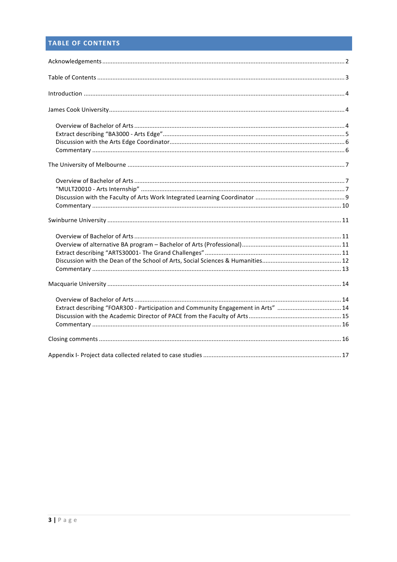# TABLE OF CONTENTS

| Extract describing "FOAR300 - Participation and Community Engagement in Arts" 14 |  |
|----------------------------------------------------------------------------------|--|
|                                                                                  |  |
|                                                                                  |  |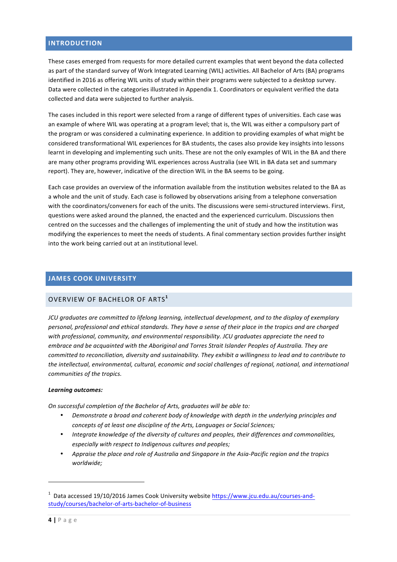# **INTRODUCTION**

These cases emerged from requests for more detailed current examples that went beyond the data collected as part of the standard survey of Work Integrated Learning (WIL) activities. All Bachelor of Arts (BA) programs identified in 2016 as offering WIL units of study within their programs were subjected to a desktop survey. Data were collected in the categories illustrated in Appendix 1. Coordinators or equivalent verified the data collected and data were subjected to further analysis.

The cases included in this report were selected from a range of different types of universities. Each case was an example of where WIL was operating at a program level; that is, the WIL was either a compulsory part of the program or was considered a culminating experience. In addition to providing examples of what might be considered transformational WIL experiences for BA students, the cases also provide key insights into lessons learnt in developing and implementing such units. These are not the only examples of WIL in the BA and there are many other programs providing WIL experiences across Australia (see WIL in BA data set and summary report). They are, however, indicative of the direction WIL in the BA seems to be going.

Each case provides an overview of the information available from the institution websites related to the BA as a whole and the unit of study. Each case is followed by observations arising from a telephone conversation with the coordinators/conveners for each of the units. The discussions were semi-structured interviews. First, questions were asked around the planned, the enacted and the experienced curriculum. Discussions then centred on the successes and the challenges of implementing the unit of study and how the institution was modifying the experiences to meet the needs of students. A final commentary section provides further insight into the work being carried out at an institutional level.

# **JAMES COOK UNIVERSITY**

# OVERVIEW OF BACHELOR OF ARTS**<sup>1</sup>**

*JCU* graduates are committed to lifelong learning, intellectual development, and to the display of exemplary *personal, professional and ethical standards. They have a sense of their place in the tropics and are charged* with professional, community, and environmental responsibility. JCU graduates appreciate the need to *embrace and be acquainted with the Aboriginal and Torres Strait Islander Peoples of Australia. They are committed to reconciliation, diversity and sustainability. They exhibit a willingness to lead and to contribute to* the intellectual, environmental, cultural, economic and social challenges of regional, national, and international *communities of the tropics.*

#### *Learning outcomes:*

 

*On successful completion of the Bachelor of Arts, graduates will be able to:* 

- Demonstrate a broad and coherent body of knowledge with depth in the underlying principles and *concepts of at least one discipline of the Arts, Languages or Social Sciences;*
- Integrate knowledge of the diversity of cultures and peoples, their differences and commonalities, especially with respect to Indigenous cultures and peoples;
- Appraise the place and role of Australia and Singapore in the Asia-Pacific region and the tropics *worldwide;*

<sup>&</sup>lt;sup>1</sup> Data accessed 19/10/2016 James Cook University website https://www.jcu.edu.au/courses-andstudy/courses/bachelor-of-arts-bachelor-of-business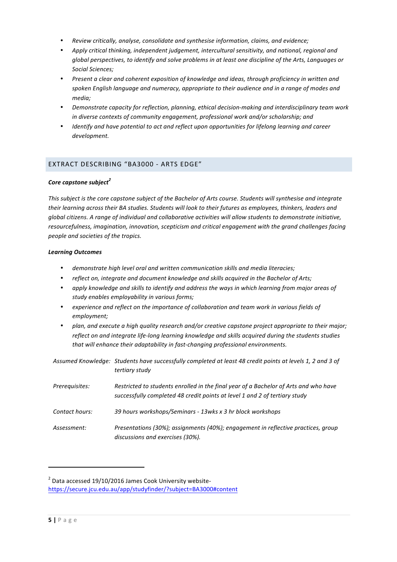- *Review critically, analyse, consolidate and synthesise information, claims, and evidence;*
- Apply critical thinking, independent *judgement, intercultural sensitivity, and national, regional and global perspectives, to identify and solve problems in at least one discipline of the Arts, Languages or Social Sciences;*
- Present a clear and coherent exposition of knowledge and ideas, through proficiency in written and spoken English language and numeracy, appropriate to their audience and in a range of modes and *media;*
- Demonstrate capacity for reflection, planning, ethical decision-making and interdisciplinary team work *in diverse contexts of community engagement, professional work and/or scholarship; and*
- *Identify and have potential to act and reflect upon opportunities for lifelong learning and career development.*

# EXTRACT DESCRIBING "BA3000 - ARTS EDGE"

#### **Core** capstone subject<sup>2</sup>

This subject is the core capstone subject of the Bachelor of Arts course. Students will synthesise and integrate their learning across their BA studies. Students will look to their futures as employees, thinkers, leaders and *global citizens.* A range of individual and collaborative activities will allow students to demonstrate initiative, resourcefulness, imagination, innovation, scepticism and critical engagement with the grand challenges facing *people and societies of the tropics.*

#### *Learning Outcomes*

- demonstrate high level oral and written communication skills and media literacies;
- reflect on, integrate and document knowledge and skills acquired in the Bachelor of Arts;
- apply knowledge and skills to identify and address the ways in which learning from major areas of study enables employability in various forms;
- experience and reflect on the importance of collaboration and team work in various fields of *employment;*
- plan, and execute a high quality research and/or creative capstone project appropriate to their major; *reflect* on and integrate life-long learning knowledge and skills acquired during the students studies that will enhance their adaptability in fast-changing professional environments.

|                | Assumed Knowledge: Students have successfully completed at least 48 credit points at levels 1, 2 and 3 of<br>tertiary study                                        |
|----------------|--------------------------------------------------------------------------------------------------------------------------------------------------------------------|
| Prerequisites: | Restricted to students enrolled in the final year of a Bachelor of Arts and who have<br>successfully completed 48 credit points at level 1 and 2 of tertiary study |
| Contact hours: | 39 hours workshops/Seminars - 13wks x 3 hr block workshops                                                                                                         |
| Assessment:    | Presentations (30%); assignments (40%); engagement in reflective practices, group<br>discussions and exercises (30%).                                              |

 

 $2$  Data accessed 19/10/2016 James Cook University websitehttps://secure.jcu.edu.au/app/studyfinder/?subject=BA3000#content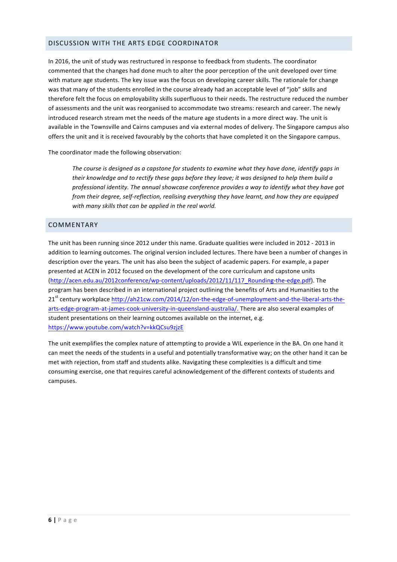# DISCUSSION WITH THE ARTS EDGE COORDINATOR

In 2016, the unit of study was restructured in response to feedback from students. The coordinator commented that the changes had done much to alter the poor perception of the unit developed over time with mature age students. The key issue was the focus on developing career skills. The rationale for change was that many of the students enrolled in the course already had an acceptable level of "job" skills and therefore felt the focus on employability skills superfluous to their needs. The restructure reduced the number of assessments and the unit was reorganised to accommodate two streams: research and career. The newly introduced research stream met the needs of the mature age students in a more direct way. The unit is available in the Townsville and Cairns campuses and via external modes of delivery. The Singapore campus also offers the unit and it is received favourably by the cohorts that have completed it on the Singapore campus.

The coordinator made the following observation:

The course is designed as a capstone for students to examine what they have done, identify gaps in *their knowledge and to rectify these gaps before they leave; it was designed to help them build a* professional identity. The annual showcase conference provides a way to identify what they have got *from their degree, self-reflection, realising everything they have learnt, and how they are equipped* with many skills that can be applied in the real world.

# COMMENTARY

The unit has been running since 2012 under this name. Graduate qualities were included in 2012 - 2013 in addition to learning outcomes. The original version included lectures. There have been a number of changes in description over the years. The unit has also been the subject of academic papers. For example, a paper presented at ACEN in 2012 focused on the development of the core curriculum and capstone units (http://acen.edu.au/2012conference/wp-content/uploads/2012/11/117\_Rounding-the-edge.pdf). The program has been described in an international project outlining the benefits of Arts and Humanities to the 21<sup>st</sup> century workplace http://ah21cw.com/2014/12/on-the-edge-of-unemployment-and-the-liberal-arts-thearts-edge-program-at-james-cook-university-in-queensland-australia/. There are also several examples of student presentations on their learning outcomes available on the internet, e.g. https://www.youtube.com/watch?v=kkQCsu9zjzE

The unit exemplifies the complex nature of attempting to provide a WIL experience in the BA. On one hand it can meet the needs of the students in a useful and potentially transformative way; on the other hand it can be met with rejection, from staff and students alike. Navigating these complexities is a difficult and time consuming exercise, one that requires careful acknowledgement of the different contexts of students and campuses.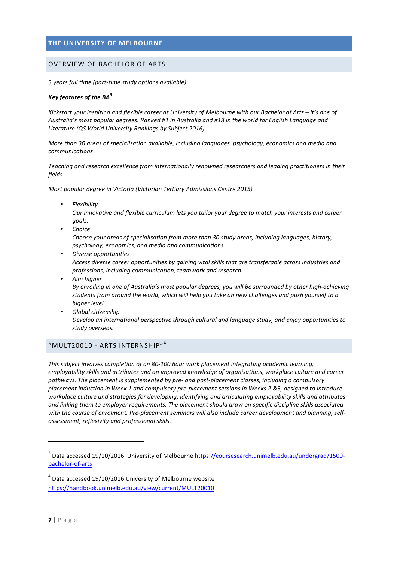# **THE UNIVERSITY OF MELBOURNE**

#### OVERVIEW OF BACHELOR OF ARTS

*3 years full time (part-time study options available)*

#### *Key features of the BA<sup>3</sup>*

Kickstart your inspiring and flexible career at University of Melbourne with our Bachelor of Arts – it's one of Australia's most popular degrees. Ranked #1 in Australia and #18 in the world for English Language and Literature (QS World University Rankings by Subject 2016)

*More than 30 areas of specialisation available, including languages, psychology, economics and media and communications*

Teaching and research excellence from internationally renowned researchers and leading practitioners in their *fields*

*Most popular degree in Victoria (Victorian Tertiary Admissions Centre 2015)* 

• *Flexibility*

Our innovative and flexible curriculum lets you tailor your degree to match your interests and career *goals.*

• *Choice*

Choose your areas of specialisation from more than 30 study areas, including languages, history, *psychology, economics, and media and communications.*

- *Diverse opportunities* Access diverse career opportunities by gaining vital skills that are transferable across industries and professions, including communication, teamwork and research.
- *Aim higher* By enrolling in one of Australia's most popular degrees, you will be surrounded by other high-achieving students from around the world, which will help you take on new challenges and push yourself to a *higher level.*
- *Global citizenship* Develop an international perspective through cultural and language study, and enjoy opportunities to *study overseas.*

# "MULT20010 - ARTS INTERNSHIP" **4**

 

This subject involves completion of an 80-100 hour work placement integrating academic learning, employability skills and attributes and an improved knowledge of organisations, workplace culture and career pathways. The placement is supplemented by pre- and post-placement classes, including a compulsory *placement induction in Week 1 and compulsory pre-placement sessions in Weeks 2 &3, designed to introduce* workplace culture and strategies for developing, identifying and articulating employability skills and attributes and linking them to employer requirements. The placement should draw on specific discipline skills associated with the course of enrolment. Pre-placement seminars will also include career development and planning, self*assessment, reflexivity and professional skills.*

<sup>&</sup>lt;sup>3</sup> Data accessed 19/10/2016 University of Melbourne https://coursesearch.unimelb.edu.au/undergrad/1500bachelor-of-arts 

 $<sup>4</sup>$  Data accessed 19/10/2016 University of Melbourne website</sup> https://handbook.unimelb.edu.au/view/current/MULT20010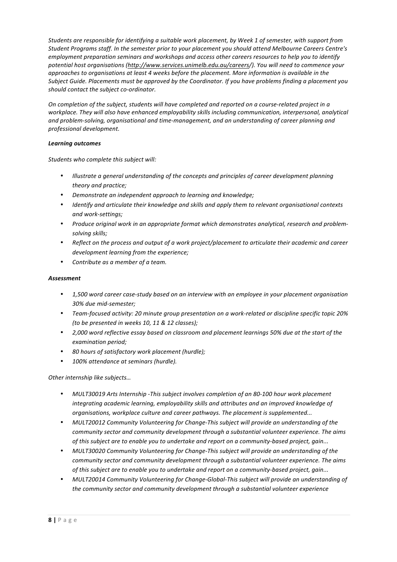Students are responsible for identifying a suitable work placement, by Week 1 of semester, with support from *Student Programs staff. In the semester prior to your placement you should attend Melbourne Careers Centre's employment preparation seminars and workshops and access other careers resources to help you to identify* potential host organisations (http://www.services.unimelb.edu.au/careers/). You will need to commence your *approaches to organisations at least 4 weeks before the placement. More information is available in the Subject Guide. Placements must be approved by the Coordinator. If you have problems finding a placement you should contact the subject co-ordinator.*

*On* completion of the subject, students will have completed and reported on a course-related project in a workplace. They will also have enhanced employability skills including communication, interpersonal, analytical and problem-solving, organisational and time-management, and an understanding of career planning and *professional development.*

#### *Learning outcomes*

Students who complete this subject will:

- *Illustrate a general understanding of the concepts and principles of career development planning theory and practice;*
- *Demonstrate an independent approach to learning and knowledge;*
- *Identify* and articulate their knowledge and skills and apply them to relevant organisational contexts *and work-settings;*
- Produce original work in an appropriate format which demonstrates analytical, research and problem*solving skills;*
- *Reflect* on the process and output of a work project/placement to articulate their academic and career development learning from the experience;
- *Contribute as a member of a team.*

#### *Assessment*

- 1,500 word career case-study based on an interview with an employee in your placement organisation *30% due mid-semester;*
- Team-focused activity: 20 minute group presentation on a work-related or discipline specific topic 20% *(to be presented in weeks 10, 11 & 12 classes);*
- 2,000 word reflective essay based on classroom and placement learnings 50% due at the start of the *examination period;*
- *80 hours of satisfactory work placement (hurdle);*
- 100% attendance at seminars (hurdle).

*Other internship like subjects...* 

- MULT30019 Arts Internship -This subject involves completion of an 80-100 hour work placement integrating academic learning, employability skills and attributes and an improved knowledge of *organisations, workplace culture and career pathways. The placement is supplemented...*
- MULT20012 Community Volunteering for Change-This subject will provide an understanding of the *community sector and community development through a substantial volunteer experience. The aims* of this subject are to enable you to undertake and report on a community-based project, gain...
- *MULT30020 Community Volunteering for Change-This subject will provide an understanding of the community sector and community development through a substantial volunteer experience. The aims of this subject are to enable you to undertake and report on a community-based project, gain...*
- *MULT20014 Community Volunteering for Change-Global-This subject will provide an understanding of* the community sector and community development through a substantial volunteer experience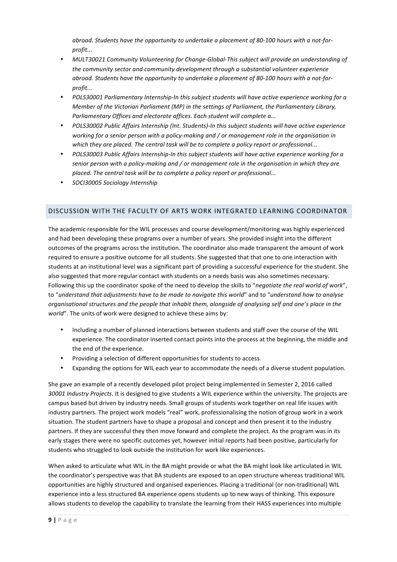abroad. Students have the opportunity to undertake a placement of 80-100 hours with a not-for*profit...*

- MULT30021 Community Volunteering for Change-Global-This subject will provide an understanding of the community sector and community development through a substantial volunteer experience abroad. Students have the opportunity to undertake a placement of 80-100 hours with a not-for*profit...*
- *POLS30001 Parliamentary Internship-In this subject students will have active experience working for a Member of the Victorian Parliament (MP) in the settings of Parliament, the Parliamentary Library, Parliamentary Offices and electorate offices. Each student will complete a...*
- *POLS30002 Public Affairs Internship (Int. Students)-In this subject students will have active experience* working for a senior person with a policy-making and / or management role in the organisation in which they are placed. The central task will be to complete a policy report or professional...
- *POLS30003 Public Affairs Internship-In this subject students will have active experience working for a* senior person with a policy-making and / or management role in the organisation in which they are placed. The central task will be to complete a policy report or professional...
- *SOCI30005 Sociology Internship*

# DISCUSSION WITH THE FACULTY OF ARTS WORK INTEGRATED LEARNING COORDINATOR

The academic responsible for the WIL processes and course development/monitoring was highly experienced and had been developing these programs over a number of years. She provided insight into the different outcomes of the programs across the institution. The coordinator also made transparent the amount of work required to ensure a positive outcome for all students. She suggested that that one to one interaction with students at an institutional level was a significant part of providing a successful experience for the student. She also suggested that more regular contact with students on a needs basis was also sometimes necessary. Following this up the coordinator spoke of the need to develop the skills to "negotiate the real world of work", to "understand that adjustments have to be made to navigate this world" and to "understand how to analyse *organisational structures and the people that inhabit them, alongside of analysing self and one's place in the world*". The units of work were designed to achieve these aims by:

- Including a number of planned interactions between students and staff over the course of the WIL experience. The coordinator inserted contact points into the process at the beginning, the middle and the end of the experience.
- Providing a selection of different opportunities for students to access.
- Expanding the options for WIL each year to accommodate the needs of a diverse student population.

She gave an example of a recently developed pilot project being implemented in Semester 2, 2016 called 30001 Industry Projects. It is designed to give students a WIL experience within the university. The projects are campus based but driven by industry needs. Small groups of students work together on real life issues with industry partners. The project work models "real" work, professionalising the notion of group work in a work situation. The student partners have to shape a proposal and concept and then present it to the industry partners. If they are successful they then move forward and complete the project. As the program was in its early stages there were no specific outcomes yet, however initial reports had been positive, particularly for students who struggled to look outside the institution for work like experiences.

When asked to articulate what WIL in the BA might provide or what the BA might look like articulated in WIL the coordinator's perspective was that BA students are exposed to an open structure whereas traditional WIL opportunities are highly structured and organised experiences. Placing a traditional (or non-traditional) WIL experience into a less structured BA experience opens students up to new ways of thinking. This exposure allows students to develop the capability to translate the learning from their HASS experiences into multiple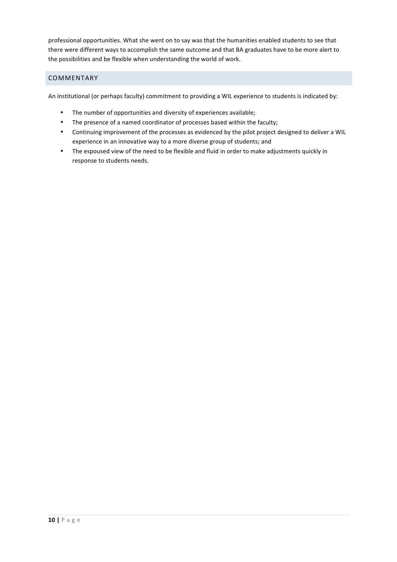professional opportunities. What she went on to say was that the humanities enabled students to see that there were different ways to accomplish the same outcome and that BA graduates have to be more alert to the possibilities and be flexible when understanding the world of work.

# COMMENTARY

An institutional (or perhaps faculty) commitment to providing a WIL experience to students is indicated by:

- The number of opportunities and diversity of experiences available;
- The presence of a named coordinator of processes based within the faculty;
- Continuing improvement of the processes as evidenced by the pilot project designed to deliver a WIL experience in an innovative way to a more diverse group of students; and
- The espoused view of the need to be flexible and fluid in order to make adjustments quickly in response to students needs.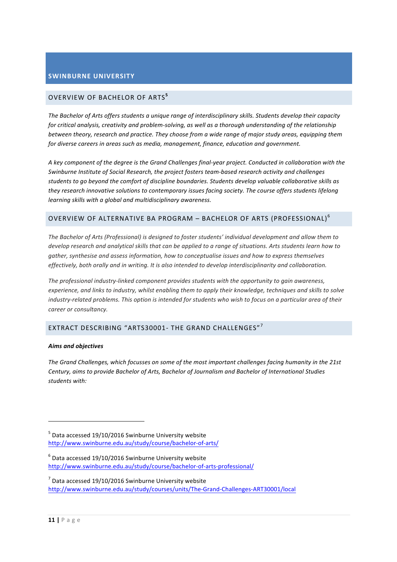# **SWINBURNE UNIVERSITY**

# OVERVIEW OF BACHELOR OF ARTS**<sup>5</sup>**

The Bachelor of Arts offers students a unique range of interdisciplinary skills. Students develop their capacity *for* critical analysis, creativity and problem-solving, as well as a thorough understanding of the relationship *between theory, research and practice. They choose from a wide range of major study areas, equipping them* for diverse careers in areas such as media, management, finance, education and government.

A key component of the degree is the Grand Challenges final-year project. Conducted in collaboration with the Swinburne Institute of Social Research, the project fosters team-based research activity and challenges students to go beyond the comfort of discipline boundaries. Students develop valuable collaborative skills as they research innovative solutions to contemporary issues facing society. The course offers students lifelong *learning skills with a global and multidisciplinary awareness.* 

# OVERVIEW OF ALTERNATIVE BA PROGRAM – BACHELOR OF ARTS (PROFESSIONAL) $^6$

The Bachelor of Arts (Professional) is designed to foster students' individual development and allow them to *develop* research and analytical skills that can be applied to a range of situations. Arts students learn how to gather, synthesise and assess information, how to conceptualise issues and how to express themselves *effectively, both orally and in writing. It is also intended to develop interdisciplinarity and collaboration.* 

The professional industry-linked component provides students with the opportunity to gain awareness, *experience, and links to industry, whilst enabling them to apply their knowledge, techniques and skills to solve industry-related problems. This option is intended for students who wish to focus on a particular area of their career or consultancy.*

# EXTRACT DESCRIBING "ARTS30001- THE GRAND CHALLENGES"  $\overline{ }$

#### *Aims and objectives*

 

The Grand Challenges, which focusses on some of the most important challenges facing humanity in the 21st Century, aims to provide Bachelor of Arts, Bachelor of Journalism and Bachelor of International Studies *students with:*

- $^6$  Data accessed 19/10/2016 Swinburne University website http://www.swinburne.edu.au/study/course/bachelor-of-arts-professional/
- $^7$  Data accessed 19/10/2016 Swinburne University website http://www.swinburne.edu.au/study/courses/units/The-Grand-Challenges-ART30001/local

 $<sup>5</sup>$  Data accessed 19/10/2016 Swinburne University website</sup> http://www.swinburne.edu.au/study/course/bachelor-of-arts/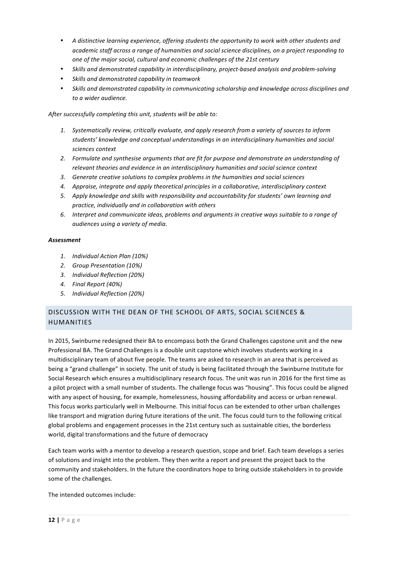- A distinctive learning experience, offering students the opportunity to work with other students and academic staff across a range of humanities and social science disciplines, on a project responding to one of the major social, cultural and economic challenges of the 21st century
- *Skills and demonstrated capability in interdisciplinary, project-based analysis and problem-solving*
- *Skills and demonstrated capability in teamwork*
- Skills and demonstrated capability in communicating scholarship and knowledge across disciplines and *to a wider audience.*

After successfully completing this unit, students will be able to:

- 1. Systematically review, critically evaluate, and apply research from a variety of sources to inform *students' knowledge and conceptual understandings in an interdisciplinary humanities and social sciences context*
- 2. Formulate and synthesise arguments that are fit for purpose and demonstrate an understanding of relevant theories and evidence in an interdisciplinary humanities and social science context
- 3. Generate creative solutions to complex problems in the humanities and social sciences
- 4. Appraise, integrate and apply theoretical principles in a collaborative, interdisciplinary context
- 5. Apply knowledge and skills with responsibility and accountability for students' own learning and *practice, individually and in collaboration with others*
- 6. Interpret and communicate ideas, problems and arguments in creative ways suitable to a range of *audiences using a variety of media.*

#### *Assessment*

- *1. Individual Action Plan (10%)*
- *2. Group Presentation (10%)*
- *3. Individual Reflection (20%)*
- *4. Final Report (40%)*
- *5. Individual Reflection (20%)*

# DISCUSSION WITH THE DEAN OF THE SCHOOL OF ARTS, SOCIAL SCIENCES & HUMANITIES

In 2015, Swinburne redesigned their BA to encompass both the Grand Challenges capstone unit and the new Professional BA. The Grand Challenges is a double unit capstone which involves students working in a multidisciplinary team of about five people. The teams are asked to research in an area that is perceived as being a "grand challenge" in society. The unit of study is being facilitated through the Swinburne Institute for Social Research which ensures a multidisciplinary research focus. The unit was run in 2016 for the first time as a pilot project with a small number of students. The challenge focus was "housing". This focus could be aligned with any aspect of housing, for example, homelessness, housing affordability and access or urban renewal. This focus works particularly well in Melbourne. This initial focus can be extended to other urban challenges like transport and migration during future iterations of the unit. The focus could turn to the following critical global problems and engagement processes in the 21st century such as sustainable cities, the borderless world, digital transformations and the future of democracy

Each team works with a mentor to develop a research question, scope and brief. Each team develops a series of solutions and insight into the problem. They then write a report and present the project back to the community and stakeholders. In the future the coordinators hope to bring outside stakeholders in to provide some of the challenges.

The intended outcomes include: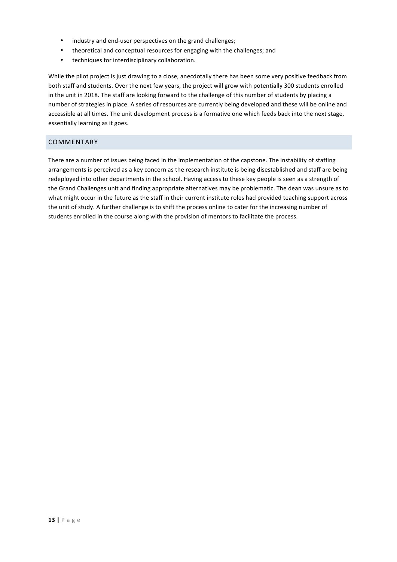- industry and end-user perspectives on the grand challenges;
- theoretical and conceptual resources for engaging with the challenges; and
- techniques for interdisciplinary collaboration.

While the pilot project is just drawing to a close, anecdotally there has been some very positive feedback from both staff and students. Over the next few years, the project will grow with potentially 300 students enrolled in the unit in 2018. The staff are looking forward to the challenge of this number of students by placing a number of strategies in place. A series of resources are currently being developed and these will be online and accessible at all times. The unit development process is a formative one which feeds back into the next stage, essentially learning as it goes.

# COMMENTARY

There are a number of issues being faced in the implementation of the capstone. The instability of staffing arrangements is perceived as a key concern as the research institute is being disestablished and staff are being redeployed into other departments in the school. Having access to these key people is seen as a strength of the Grand Challenges unit and finding appropriate alternatives may be problematic. The dean was unsure as to what might occur in the future as the staff in their current institute roles had provided teaching support across the unit of study. A further challenge is to shift the process online to cater for the increasing number of students enrolled in the course along with the provision of mentors to facilitate the process.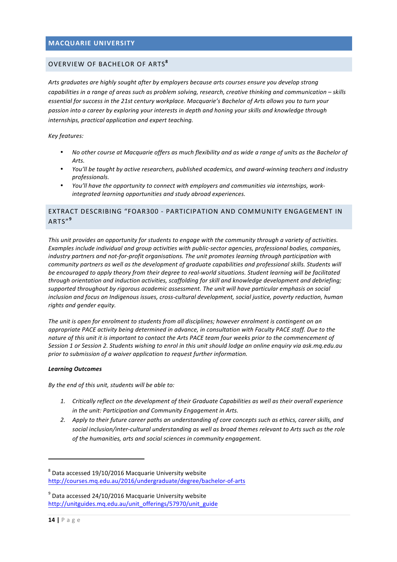# **MACQUARIE UNIVERSITY**

# OVERVIEW OF BACHELOR OF ARTS**<sup>8</sup>**

Arts graduates are highly sought after by employers because arts courses ensure you develop strong *capabilities* in a range of areas such as problem solving, research, creative thinking and communication – skills *essential for success in the 21st century workplace. Macquarie's Bachelor of Arts allows you to turn your* passion into a career by exploring your interests in depth and honing your skills and knowledge through internships, practical application and expert teaching.

*Key features:*

- No other course at Macquarie offers as much flexibility and as wide a range of units as the Bachelor of *Arts.*
- You'll be taught by active researchers, published academics, and award-winning teachers and industry *professionals.*
- You'll have the opportunity to connect with employers and communities via internships, workintegrated learning opportunities and study abroad experiences.

# EXTRACT DESCRIBING "FOAR300 - PARTICIPATION AND COMMUNITY ENGAGEMENT IN ARTS" **9**

*This unit provides an opportunity for students to engage with the community through a variety of activities. Examples include individual and group activities with public-sector agencies, professional bodies, companies, industry partners and not-for-profit organisations. The unit promotes learning through participation with community partners as well as the development of graduate capabilities and professional skills. Students will be encouraged to apply theory from their degree to real-world situations. Student learning will be facilitated through orientation and induction activities, scaffolding for skill and knowledge development and debriefing;* supported throughout by rigorous academic assessment. The unit will have particular emphasis on social *inclusion and focus on Indigenous issues, cross-cultural development, social justice, poverty reduction, human rights and gender equity.*

The unit is open for enrolment to students from all disciplines; however enrolment is contingent on an *appropriate PACE activity being determined in advance, in consultation with Faculty PACE staff. Due to the* nature of this unit it is important to contact the Arts PACE team four weeks prior to the commencement of Session 1 or Session 2. Students wishing to enrol in this unit should lodge an online enquiry via ask.mq.edu.au prior to submission of a waiver application to request further information.

#### *Learning Outcomes*

By the end of this unit, students will be able to:

<u> 1989 - Jan Samuel Barbara, político establecido de la provincia de la provincia de la provincia de la provinci</u>

- 1. Critically reflect on the development of their Graduate Capabilities as well as their overall experience *in the unit: Participation and Community Engagement in Arts.*
- 2. Apply to their future career paths an understanding of core concepts such as ethics, career skills, and social inclusion/inter-cultural understanding as well as broad themes relevant to Arts such as the role of the humanities, arts and social sciences in community engagement.

 $^8$  Data accessed 19/10/2016 Macquarie University website http://courses.mq.edu.au/2016/undergraduate/degree/bachelor-of-arts 

 $^9$  Data accessed 24/10/2016 Macquarie University website http://unitguides.mq.edu.au/unit\_offerings/57970/unit\_guide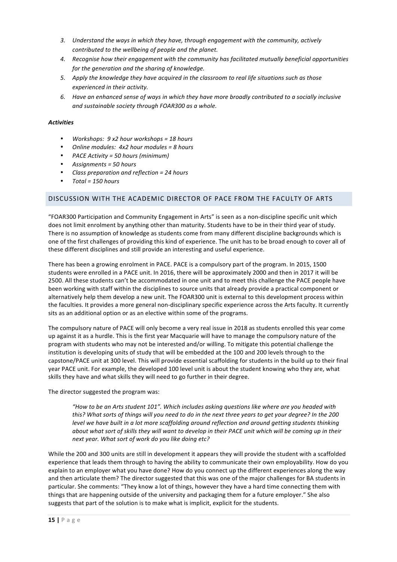- 3. Understand the ways in which they have, through engagement with the community, actively *contributed to the wellbeing of people and the planet.*
- 4. Recognise how their engagement with the community has facilitated mutually beneficial opportunities *for the generation and the sharing of knowledge.*
- 5. Apply the knowledge they have acquired in the classroom to real life situations such as those experienced in their activity.
- 6. Have an enhanced sense of ways in which they have more broadly contributed to a socially inclusive and sustainable society through FOAR300 as a whole.

#### *Activities*

- *Workshops:* 9 x2 hour workshops = 18 hours
- Online modules:  $4x2$  hour modules = 8 hours
- *PACE Activity = 50 hours (minimum)*
- *Assignments = 50 hours*
- *Class preparation and reflection = 24 hours*
- *Total = 150 hours*

#### DISCUSSION WITH THE ACADEMIC DIRECTOR OF PACE FROM THE FACULTY OF ARTS

"FOAR300 Participation and Community Engagement in Arts" is seen as a non-discipline specific unit which does not limit enrolment by anything other than maturity. Students have to be in their third year of study. There is no assumption of knowledge as students come from many different discipline backgrounds which is one of the first challenges of providing this kind of experience. The unit has to be broad enough to cover all of these different disciplines and still provide an interesting and useful experience.

There has been a growing enrolment in PACE. PACE is a compulsory part of the program. In 2015, 1500 students were enrolled in a PACE unit. In 2016, there will be approximately 2000 and then in 2017 it will be 2500. All these students can't be accommodated in one unit and to meet this challenge the PACE people have been working with staff within the disciplines to source units that already provide a practical component or alternatively help them develop a new unit. The FOAR300 unit is external to this development process within the faculties. It provides a more general non-disciplinary specific experience across the Arts faculty. It currently sits as an additional option or as an elective within some of the programs.

The compulsory nature of PACE will only become a very real issue in 2018 as students enrolled this year come up against it as a hurdle. This is the first year Macquarie will have to manage the compulsory nature of the program with students who may not be interested and/or willing. To mitigate this potential challenge the institution is developing units of study that will be embedded at the 100 and 200 levels through to the capstone/PACE unit at 300 level. This will provide essential scaffolding for students in the build up to their final year PACE unit. For example, the developed 100 level unit is about the student knowing who they are, what skills they have and what skills they will need to go further in their degree.

The director suggested the program was:

*"How to be an Arts student 101". Which includes asking questions like where are you headed with this?* What sorts of things will you need to do in the next three years to get your degree? In the 200 *level* we have built in a lot more scaffolding around reflection and around getting students thinking *about* what sort of skills they will want to develop in their PACE unit which will be coming up in their next year. What sort of work do you like doing etc?

While the 200 and 300 units are still in development it appears they will provide the student with a scaffolded experience that leads them through to having the ability to communicate their own employability. How do you explain to an employer what you have done? How do you connect up the different experiences along the way and then articulate them? The director suggested that this was one of the major challenges for BA students in particular. She comments: "They know a lot of things, however they have a hard time connecting them with things that are happening outside of the university and packaging them for a future employer." She also suggests that part of the solution is to make what is implicit, explicit for the students.